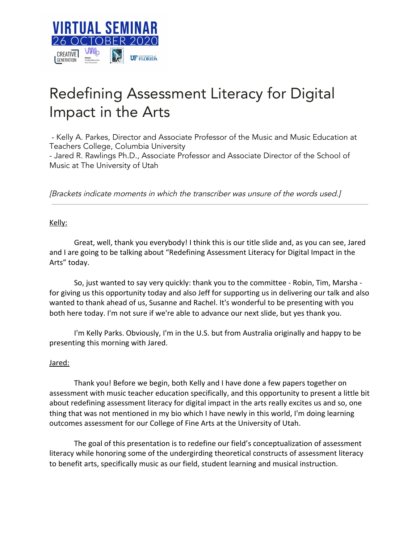

# Redefining Assessment Literacy for Digital Impact in the Arts

- Kelly A. Parkes, Director and Associate Professor of the Music and Music Education at Teachers College, Columbia University - Jared R. Rawlings Ph.D., Associate Professor and Associate Director of the School of Music at The University of Utah

[Brackets indicate moments in which the transcriber was unsure of the words used.]

# Kelly:

Great, well, thank you everybody! I think this is our title slide and, as you can see, Jared and I are going to be talking about "Redefining Assessment Literacy for Digital Impact in the Arts" today.

So, just wanted to say very quickly: thank you to the committee - Robin, Tim, Marsha for giving us this opportunity today and also Jeff for supporting us in delivering our talk and also wanted to thank ahead of us, Susanne and Rachel. It's wonderful to be presenting with you both here today. I'm not sure if we're able to advance our next slide, but yes thank you.

I'm Kelly Parks. Obviously, I'm in the U.S. but from Australia originally and happy to be presenting this morning with Jared.

# Jared:

Thank you! Before we begin, both Kelly and I have done a few papers together on assessment with music teacher education specifically, and this opportunity to present a little bit about redefining assessment literacy for digital impact in the arts really excites us and so, one thing that was not mentioned in my bio which I have newly in this world, I'm doing learning outcomes assessment for our College of Fine Arts at the University of Utah.

The goal of this presentation is to redefine our field's conceptualization of assessment literacy while honoring some of the undergirding theoretical constructs of assessment literacy to benefit arts, specifically music as our field, student learning and musical instruction.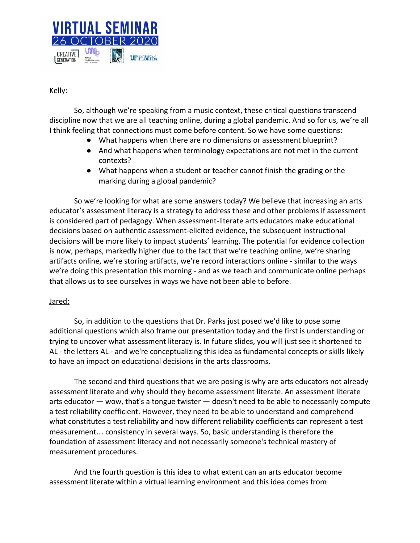

# Kelly:

So, although we're speaking from a music context, these critical questions transcend discipline now that we are all teaching online, during a global pandemic. And so for us, we're all I think feeling that connections must come before content. So we have some questions:

- What happens when there are no dimensions or assessment blueprint?
- And what happens when terminology expectations are not met in the current contexts?
- What happens when a student or teacher cannot finish the grading or the marking during a global pandemic?

So we're looking for what are some answers today? We believe that increasing an arts educator's assessment literacy is a strategy to address these and other problems if assessment is considered part of pedagogy. When assessment-literate arts educators make educational decisions based on authentic assessment-elicited evidence, the subsequent instructional decisions will be more likely to impact students' learning. The potential for evidence collection is now, perhaps, markedly higher due to the fact that we're teaching online, we're sharing artifacts online, we're storing artifacts, we're record interactions online - similar to the ways we're doing this presentation this morning - and as we teach and communicate online perhaps that allows us to see ourselves in ways we have not been able to before.

# Jared:

So, in addition to the questions that Dr. Parks just posed we'd like to pose some additional questions which also frame our presentation today and the first is understanding or trying to uncover what assessment literacy is. In future slides, you will just see it shortened to AL - the letters AL - and we're conceptualizing this idea as fundamental concepts or skills likely to have an impact on educational decisions in the arts classrooms.

The second and third questions that we are posing is why are arts educators not already assessment literate and why should they become assessment literate. An assessment literate arts educator — wow, that's a tongue twister — doesn't need to be able to necessarily compute a test reliability coefficient. However, they need to be able to understand and comprehend what constitutes a test reliability and how different reliability coefficients can represent a test measurement… consistency in several ways. So, basic understanding is therefore the foundation of assessment literacy and not necessarily someone's technical mastery of measurement procedures.

And the fourth question is this idea to what extent can an arts educator become assessment literate within a virtual learning environment and this idea comes from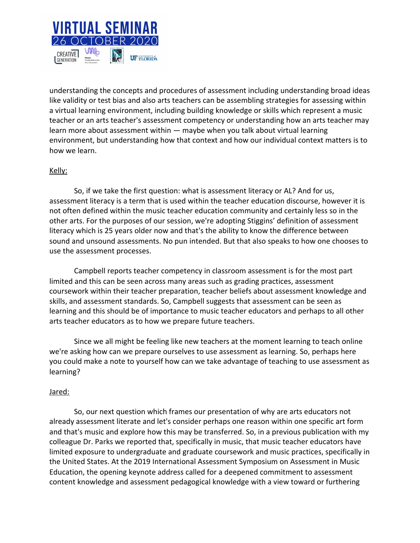

understanding the concepts and procedures of assessment including understanding broad ideas like validity or test bias and also arts teachers can be assembling strategies for assessing within a virtual learning environment, including building knowledge or skills which represent a music teacher or an arts teacher's assessment competency or understanding how an arts teacher may learn more about assessment within — maybe when you talk about virtual learning environment, but understanding how that context and how our individual context matters is to how we learn.

# Kelly:

So, if we take the first question: what is assessment literacy or AL? And for us, assessment literacy is a term that is used within the teacher education discourse, however it is not often defined within the music teacher education community and certainly less so in the other arts. For the purposes of our session, we're adopting Stiggins' definition of assessment literacy which is 25 years older now and that's the ability to know the difference between sound and unsound assessments. No pun intended. But that also speaks to how one chooses to use the assessment processes.

Campbell reports teacher competency in classroom assessment is for the most part limited and this can be seen across many areas such as grading practices, assessment coursework within their teacher preparation, teacher beliefs about assessment knowledge and skills, and assessment standards. So, Campbell suggests that assessment can be seen as learning and this should be of importance to music teacher educators and perhaps to all other arts teacher educators as to how we prepare future teachers.

Since we all might be feeling like new teachers at the moment learning to teach online we're asking how can we prepare ourselves to use assessment as learning. So, perhaps here you could make a note to yourself how can we take advantage of teaching to use assessment as learning?

# Jared:

So, our next question which frames our presentation of why are arts educators not already assessment literate and let's consider perhaps one reason within one specific art form and that's music and explore how this may be transferred. So, in a previous publication with my colleague Dr. Parks we reported that, specifically in music, that music teacher educators have limited exposure to undergraduate and graduate coursework and music practices, specifically in the United States. At the 2019 International Assessment Symposium on Assessment in Music Education, the opening keynote address called for a deepened commitment to assessment content knowledge and assessment pedagogical knowledge with a view toward or furthering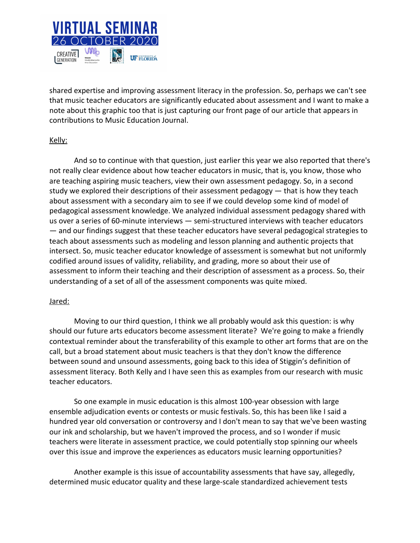

shared expertise and improving assessment literacy in the profession. So, perhaps we can't see that music teacher educators are significantly educated about assessment and I want to make a note about this graphic too that is just capturing our front page of our article that appears in contributions to Music Education Journal.

# Kelly:

And so to continue with that question, just earlier this year we also reported that there's not really clear evidence about how teacher educators in music, that is, you know, those who are teaching aspiring music teachers, view their own assessment pedagogy. So, in a second study we explored their descriptions of their assessment pedagogy — that is how they teach about assessment with a secondary aim to see if we could develop some kind of model of pedagogical assessment knowledge. We analyzed individual assessment pedagogy shared with us over a series of 60-minute interviews — semi-structured interviews with teacher educators — and our findings suggest that these teacher educators have several pedagogical strategies to teach about assessments such as modeling and lesson planning and authentic projects that intersect. So, music teacher educator knowledge of assessment is somewhat but not uniformly codified around issues of validity, reliability, and grading, more so about their use of assessment to inform their teaching and their description of assessment as a process. So, their understanding of a set of all of the assessment components was quite mixed.

# Jared:

Moving to our third question, I think we all probably would ask this question: is why should our future arts educators become assessment literate? We're going to make a friendly contextual reminder about the transferability of this example to other art forms that are on the call, but a broad statement about music teachers is that they don't know the difference between sound and unsound assessments, going back to this idea of Stiggin's definition of assessment literacy. Both Kelly and I have seen this as examples from our research with music teacher educators.

So one example in music education is this almost 100-year obsession with large ensemble adjudication events or contests or music festivals. So, this has been like I said a hundred year old conversation or controversy and I don't mean to say that we've been wasting our ink and scholarship, but we haven't improved the process, and so I wonder if music teachers were literate in assessment practice, we could potentially stop spinning our wheels over this issue and improve the experiences as educators music learning opportunities?

Another example is this issue of accountability assessments that have say, allegedly, determined music educator quality and these large-scale standardized achievement tests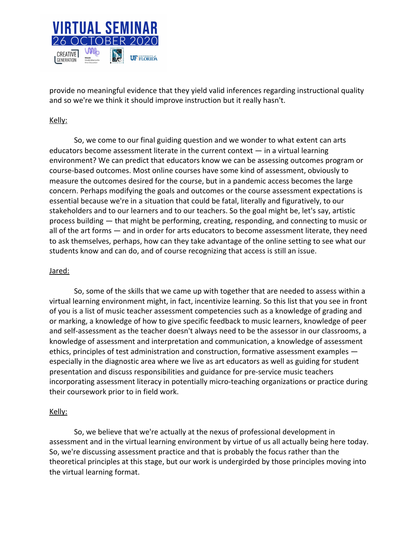

provide no meaningful evidence that they yield valid inferences regarding instructional quality and so we're we think it should improve instruction but it really hasn't.

# Kelly:

So, we come to our final guiding question and we wonder to what extent can arts educators become assessment literate in the current context  $-$  in a virtual learning environment? We can predict that educators know we can be assessing outcomes program or course-based outcomes. Most online courses have some kind of assessment, obviously to measure the outcomes desired for the course, but in a pandemic access becomes the large concern. Perhaps modifying the goals and outcomes or the course assessment expectations is essential because we're in a situation that could be fatal, literally and figuratively, to our stakeholders and to our learners and to our teachers. So the goal might be, let's say, artistic process building — that might be performing, creating, responding, and connecting to music or all of the art forms — and in order for arts educators to become assessment literate, they need to ask themselves, perhaps, how can they take advantage of the online setting to see what our students know and can do, and of course recognizing that access is still an issue.

#### Jared:

So, some of the skills that we came up with together that are needed to assess within a virtual learning environment might, in fact, incentivize learning. So this list that you see in front of you is a list of music teacher assessment competencies such as a knowledge of grading and or marking, a knowledge of how to give specific feedback to music learners, knowledge of peer and self-assessment as the teacher doesn't always need to be the assessor in our classrooms, a knowledge of assessment and interpretation and communication, a knowledge of assessment ethics, principles of test administration and construction, formative assessment examples especially in the diagnostic area where we live as art educators as well as guiding for student presentation and discuss responsibilities and guidance for pre-service music teachers incorporating assessment literacy in potentially micro-teaching organizations or practice during their coursework prior to in field work.

#### Kelly:

So, we believe that we're actually at the nexus of professional development in assessment and in the virtual learning environment by virtue of us all actually being here today. So, we're discussing assessment practice and that is probably the focus rather than the theoretical principles at this stage, but our work is undergirded by those principles moving into the virtual learning format.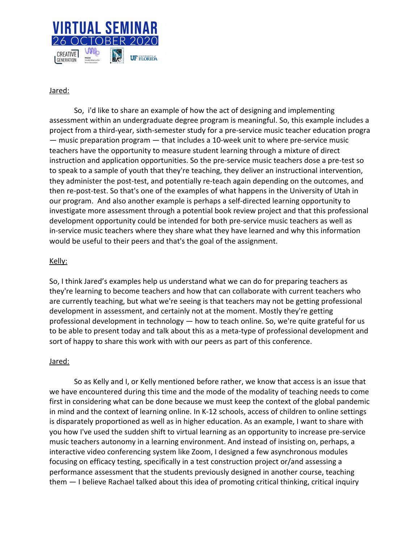

# Jared:

So, i'd like to share an example of how the act of designing and implementing assessment within an undergraduate degree program is meaningful. So, this example includes a project from a third-year, sixth-semester study for a pre-service music teacher education progra — music preparation program — that includes a 10-week unit to where pre-service music teachers have the opportunity to measure student learning through a mixture of direct instruction and application opportunities. So the pre-service music teachers dose a pre-test so to speak to a sample of youth that they're teaching, they deliver an instructional intervention, they administer the post-test, and potentially re-teach again depending on the outcomes, and then re-post-test. So that's one of the examples of what happens in the University of Utah in our program. And also another example is perhaps a self-directed learning opportunity to investigate more assessment through a potential book review project and that this professional development opportunity could be intended for both pre-service music teachers as well as in-service music teachers where they share what they have learned and why this information would be useful to their peers and that's the goal of the assignment.

# Kelly:

So, I think Jared's examples help us understand what we can do for preparing teachers as they're learning to become teachers and how that can collaborate with current teachers who are currently teaching, but what we're seeing is that teachers may not be getting professional development in assessment, and certainly not at the moment. Mostly they're getting professional development in technology — how to teach online. So, we're quite grateful for us to be able to present today and talk about this as a meta-type of professional development and sort of happy to share this work with with our peers as part of this conference.

# Jared:

So as Kelly and I, or Kelly mentioned before rather, we know that access is an issue that we have encountered during this time and the mode of the modality of teaching needs to come first in considering what can be done because we must keep the context of the global pandemic in mind and the context of learning online. In K-12 schools, access of children to online settings is disparately proportioned as well as in higher education. As an example, I want to share with you how I've used the sudden shift to virtual learning as an opportunity to increase pre-service music teachers autonomy in a learning environment. And instead of insisting on, perhaps, a interactive video conferencing system like Zoom, I designed a few asynchronous modules focusing on efficacy testing, specifically in a test construction project or/and assessing a performance assessment that the students previously designed in another course, teaching them — I believe Rachael talked about this idea of promoting critical thinking, critical inquiry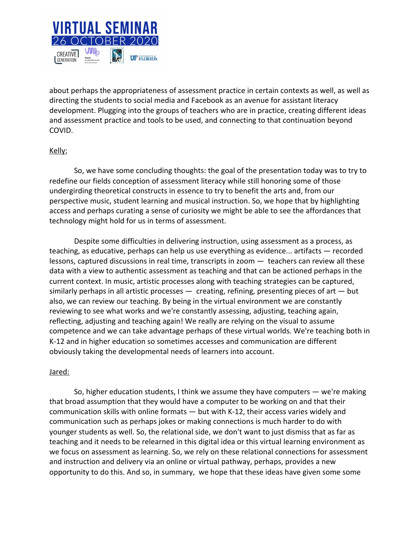

about perhaps the appropriateness of assessment practice in certain contexts as well, as well as directing the students to social media and Facebook as an avenue for assistant literacy development. Plugging into the groups of teachers who are in practice, creating different ideas and assessment practice and tools to be used, and connecting to that continuation beyond COVID.

# Kelly:

So, we have some concluding thoughts: the goal of the presentation today was to try to redefine our fields conception of assessment literacy while still honoring some of those undergirding theoretical constructs in essence to try to benefit the arts and, from our perspective music, student learning and musical instruction. So, we hope that by highlighting access and perhaps curating a sense of curiosity we might be able to see the affordances that technology might hold for us in terms of assessment.

Despite some difficulties in delivering instruction, using assessment as a process, as teaching, as educative, perhaps can help us use everything as evidence... artifacts — recorded lessons, captured discussions in real time, transcripts in zoom — teachers can review all these data with a view to authentic assessment as teaching and that can be actioned perhaps in the current context. In music, artistic processes along with teaching strategies can be captured, similarly perhaps in all artistic processes  $-$  creating, refining, presenting pieces of art  $-$  but also, we can review our teaching. By being in the virtual environment we are constantly reviewing to see what works and we're constantly assessing, adjusting, teaching again, reflecting, adjusting and teaching again! We really are relying on the visual to assume competence and we can take advantage perhaps of these virtual worlds. We're teaching both in K-12 and in higher education so sometimes accesses and communication are different obviously taking the developmental needs of learners into account.

# Jared:

So, higher education students, I think we assume they have computers — we're making that broad assumption that they would have a computer to be working on and that their communication skills with online formats — but with K-12, their access varies widely and communication such as perhaps jokes or making connections is much harder to do with younger students as well. So, the relational side, we don't want to just dismiss that as far as teaching and it needs to be relearned in this digital idea or this virtual learning environment as we focus on assessment as learning. So, we rely on these relational connections for assessment and instruction and delivery via an online or virtual pathway, perhaps, provides a new opportunity to do this. And so, in summary, we hope that these ideas have given some some